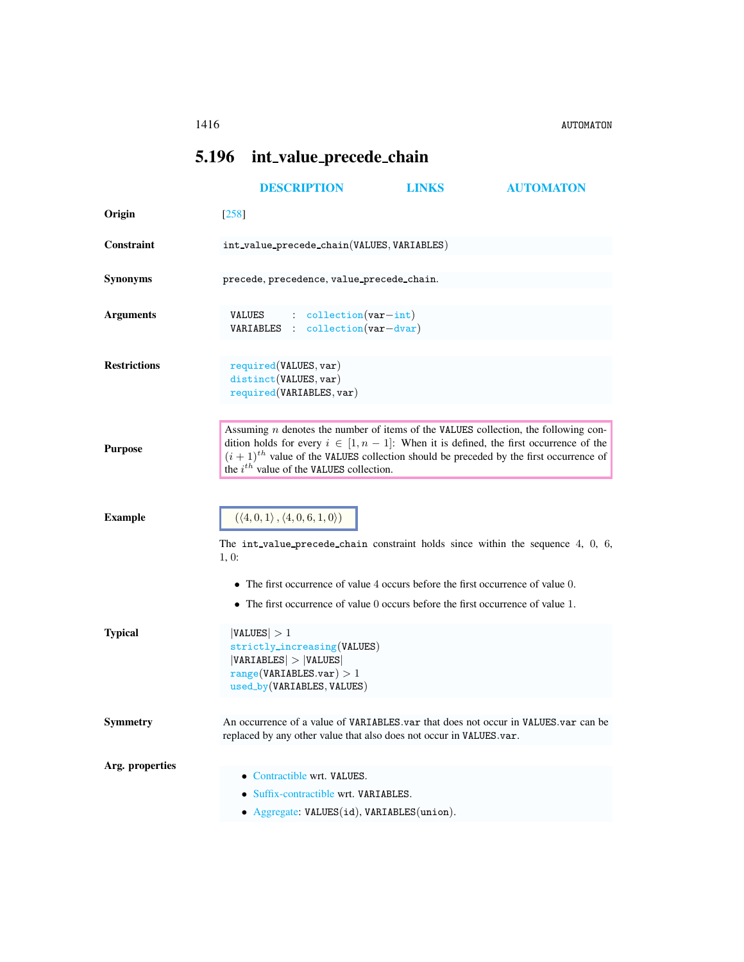## <span id="page-0-0"></span>5.196 int value precede chain

|                     | <b>DESCRIPTION</b>                                                                                                                                                                                                                                                                                                                         | LINKS | <b>AUTOMATON</b> |
|---------------------|--------------------------------------------------------------------------------------------------------------------------------------------------------------------------------------------------------------------------------------------------------------------------------------------------------------------------------------------|-------|------------------|
| Origin              | [258]                                                                                                                                                                                                                                                                                                                                      |       |                  |
| Constraint          | $\verb int_value_precede-chain(VALUES, VARIABLES) $                                                                                                                                                                                                                                                                                        |       |                  |
| <b>Synonyms</b>     | precede, precedence, value_precede_chain.                                                                                                                                                                                                                                                                                                  |       |                  |
| <b>Arguments</b>    | $\therefore$ collection (var-int)<br>VALUES<br>VARIABLES : collection(var-dvar)                                                                                                                                                                                                                                                            |       |                  |
| <b>Restrictions</b> | required(VALUES, var)<br>distinct(VALUES, var)<br>required(VARIABLES, var)                                                                                                                                                                                                                                                                 |       |                  |
| <b>Purpose</b>      | Assuming $n$ denotes the number of items of the VALUES collection, the following con-<br>dition holds for every $i \in [1, n-1]$ : When it is defined, the first occurrence of the<br>$(i + 1)$ <sup>th</sup> value of the VALUES collection should be preceded by the first occurrence of<br>the $i^{th}$ value of the VALUES collection. |       |                  |
| <b>Example</b>      | $(\langle 4, 0, 1 \rangle, \langle 4, 0, 6, 1, 0 \rangle)$<br>The int-value-precede-chain constraint holds since within the sequence $4, 0, 6$ ,<br>1, 0:                                                                                                                                                                                  |       |                  |
|                     | $\bullet$ The first occurrence of value 4 occurs before the first occurrence of value 0.<br>• The first occurrence of value 0 occurs before the first occurrence of value 1.                                                                                                                                                               |       |                  |
| <b>Typical</b>      | VALUES  > 1<br>strictly_increasing(VALUES)<br> VARIABLES  >  VALUES <br>range(VARIABLES.var) > 1<br>used_by(VARIABLES, VALUES)                                                                                                                                                                                                             |       |                  |
| <b>Symmetry</b>     | An occurrence of a value of VARTABLES var that does not occur in VALUES var can be<br>replaced by any other value that also does not occur in VALUES.var.                                                                                                                                                                                  |       |                  |
| Arg. properties     | • Contractible wrt. VALUES.<br>• Suffix-contractible wrt. VARIABLES.<br>• Aggregate: VALUES(id), VARIABLES(union).                                                                                                                                                                                                                         |       |                  |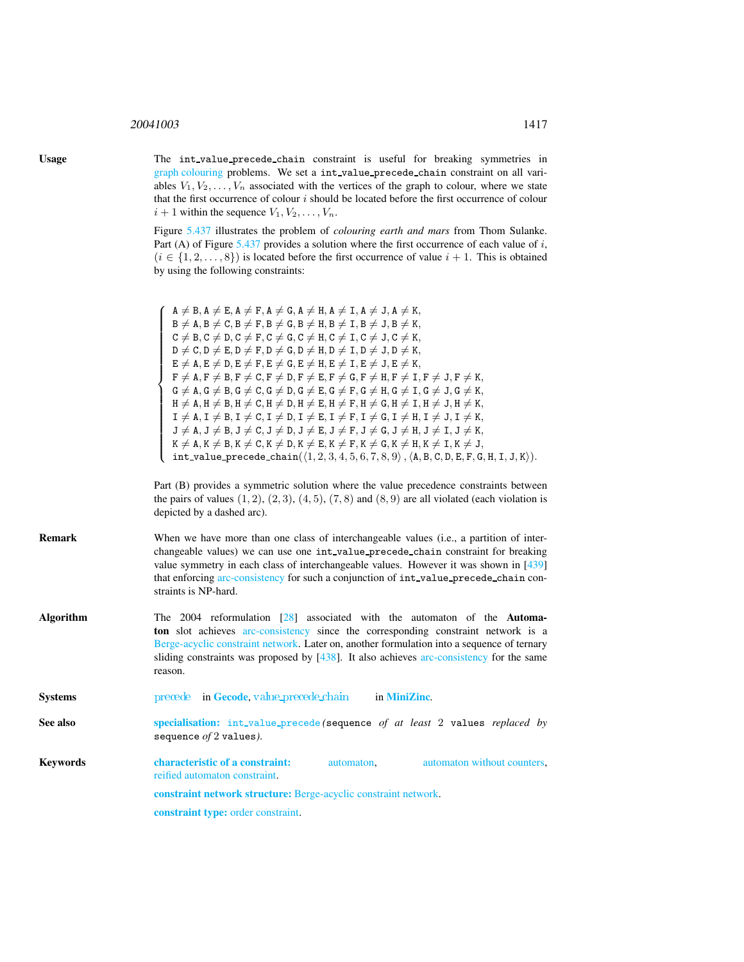## <sup>20041003</sup> 1417

Usage The int value precede chain constraint is useful for breaking symmetries in graph colouring problems. We set a int value precede chain constraint on all variables  $V_1, V_2, \ldots, V_n$  associated with the vertices of the graph to colour, where we state that the first occurrence of colour  $i$  should be located before the first occurrence of colour  $i + 1$  within the sequence  $V_1, V_2, \ldots, V_n$ .

> Figure [5.437](#page-2-0) illustrates the problem of *colouring earth and mars* from Thom Sulanke. Part (A) of Figure  $5.437$  provides a solution where the first occurrence of each value of i,  $(i \in \{1, 2, \ldots, 8\})$  is located before the first occurrence of value  $i + 1$ . This is obtained by using the following constraints:

<span id="page-1-0"></span>

|                  | $A \neq B$ , $A \neq E$ , $A \neq F$ , $A \neq G$ , $A \neq H$ , $A \neq I$ , $A \neq J$ , $A \neq K$ ,<br>$A \neq B, A \neq E, A \neq 0, A \neq 1, A \neq 1, A \neq 3, A \neq 6,$<br>$B \neq A, B \neq C, B \neq F, B \neq G, B \neq H, B \neq I, B \neq J, B \neq K,$<br>$C \neq B, C \neq D, C \neq F, C \neq G, C \neq H, C \neq I, C \neq J, C \neq K,$<br>$D \neq C, D \neq E, D \neq F, D \neq G, D \neq H, D \neq I, D \neq J, D \neq K,$<br>$E \neq A, E \neq D, E$<br>$\mathtt{H}\neq \mathtt{A}, \mathtt{H}\neq \mathtt{B}, \mathtt{H}\neq \mathtt{C}, \mathtt{H}\neq \mathtt{D}, \mathtt{H}\neq \mathtt{E}, \mathtt{H}\neq \mathtt{F}, \mathtt{H}\neq \mathtt{G}, \mathtt{H}\neq \mathtt{I}, \mathtt{H}\neq \mathtt{J}, \mathtt{H}\neq \mathtt{K},$<br>$I \neq A, I \neq B, I \neq C, I \neq D, I \neq E, I \neq F, I \neq G, I \neq H, I \neq J, I \neq K,$<br>$J \neq A, J \neq B, J \neq C, J \neq D, J \neq E, J \neq F, J \neq G, J \neq H, J \neq I, J \neq K,$<br>$K \neq A, K \neq B, K \neq C, K \neq D, K \neq E, K \neq F, K \neq G, K \neq H, K \neq I, K \neq J,$<br>$int-value-precede-chain((1, 2, 3, 4, 5, 6, 7, 8$ |  |  |
|------------------|-------------------------------------------------------------------------------------------------------------------------------------------------------------------------------------------------------------------------------------------------------------------------------------------------------------------------------------------------------------------------------------------------------------------------------------------------------------------------------------------------------------------------------------------------------------------------------------------------------------------------------------------------------------------------------------------------------------------------------------------------------------------------------------------------------------------------------------------------------------------------------------------------------------------------------------------------------------------------------------------------------------------------------------------------------------------------------------------------------------------------------------------------|--|--|
|                  | Part (B) provides a symmetric solution where the value precedence constraints between<br>the pairs of values $(1, 2), (2, 3), (4, 5), (7, 8)$ and $(8, 9)$ are all violated (each violation is<br>depicted by a dashed arc).                                                                                                                                                                                                                                                                                                                                                                                                                                                                                                                                                                                                                                                                                                                                                                                                                                                                                                                    |  |  |
| Remark           | When we have more than one class of interchangeable values (i.e., a partition of inter-<br>changeable values) we can use one int_value_precede_chain constraint for breaking<br>value symmetry in each class of interchangeable values. However it was shown in [439]<br>that enforcing arc-consistency for such a conjunction of int_value_precede_chain con-<br>straints is NP-hard.                                                                                                                                                                                                                                                                                                                                                                                                                                                                                                                                                                                                                                                                                                                                                          |  |  |
| <b>Algorithm</b> | The $2004$ reformulation $[28]$ associated with the automaton of the <b>Automa-</b><br>ton slot achieves arc-consistency since the corresponding constraint network is a<br>Berge-acyclic constraint network. Later on, another formulation into a sequence of ternary<br>sliding constraints was proposed by $[438]$ . It also achieves arc-consistency for the same<br>reason.                                                                                                                                                                                                                                                                                                                                                                                                                                                                                                                                                                                                                                                                                                                                                                |  |  |
| <b>Systems</b>   | precede in Gecode, value precede chain<br>in MiniZinc.                                                                                                                                                                                                                                                                                                                                                                                                                                                                                                                                                                                                                                                                                                                                                                                                                                                                                                                                                                                                                                                                                          |  |  |
| <b>See also</b>  | specialisation: int_value_precede(sequence of at least 2 values replaced by<br>sequence $of 2$ values).                                                                                                                                                                                                                                                                                                                                                                                                                                                                                                                                                                                                                                                                                                                                                                                                                                                                                                                                                                                                                                         |  |  |
| Keywords         | characteristic of a constraint:<br>automaton without counters,<br>automaton,<br>reified automaton constraint.                                                                                                                                                                                                                                                                                                                                                                                                                                                                                                                                                                                                                                                                                                                                                                                                                                                                                                                                                                                                                                   |  |  |
|                  | constraint network structure: Berge-acyclic constraint network.                                                                                                                                                                                                                                                                                                                                                                                                                                                                                                                                                                                                                                                                                                                                                                                                                                                                                                                                                                                                                                                                                 |  |  |
|                  | <b>constraint type:</b> order constraint.                                                                                                                                                                                                                                                                                                                                                                                                                                                                                                                                                                                                                                                                                                                                                                                                                                                                                                                                                                                                                                                                                                       |  |  |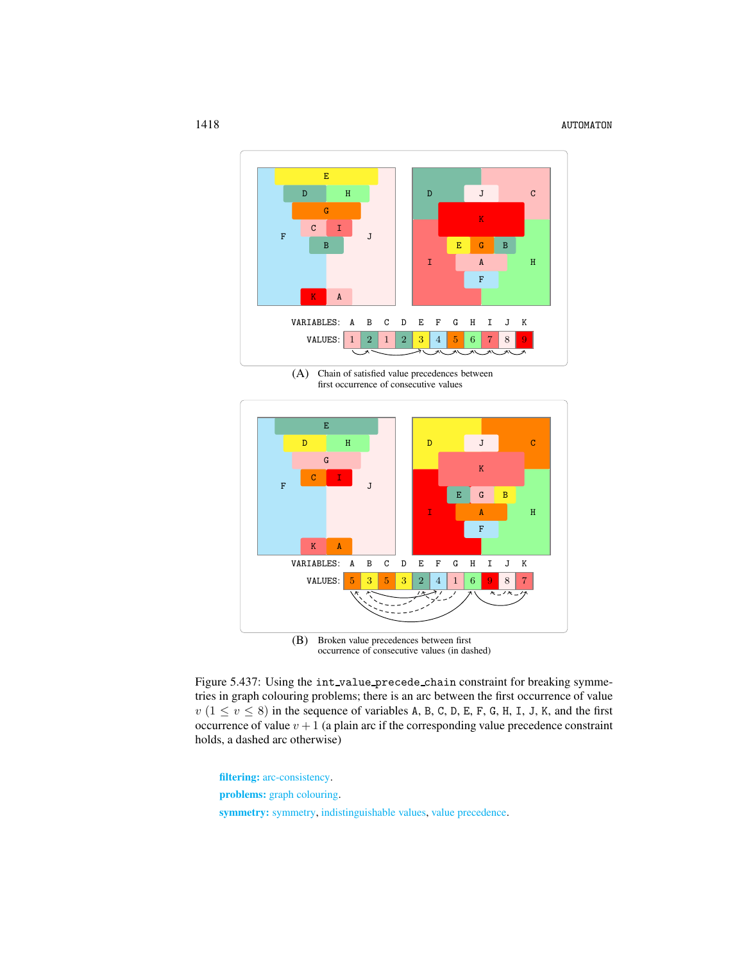

(A) Chain of satisfied value precedences between first occurrence of consecutive values



<span id="page-2-0"></span>(B) Broken value precedences between first occurrence of consecutive values (in dashed)

Figure 5.437: Using the int value precede chain constraint for breaking symmetries in graph colouring problems; there is an arc between the first occurrence of value  $v$  ( $1 \le v \le 8$ ) in the sequence of variables A, B, C, D, E, F, G, H, I, J, K, and the first occurrence of value  $v + 1$  (a plain arc if the corresponding value precedence constraint holds, a dashed arc otherwise)

filtering: arc-consistency.

problems: graph colouring.

symmetry: symmetry, indistinguishable values, value precedence.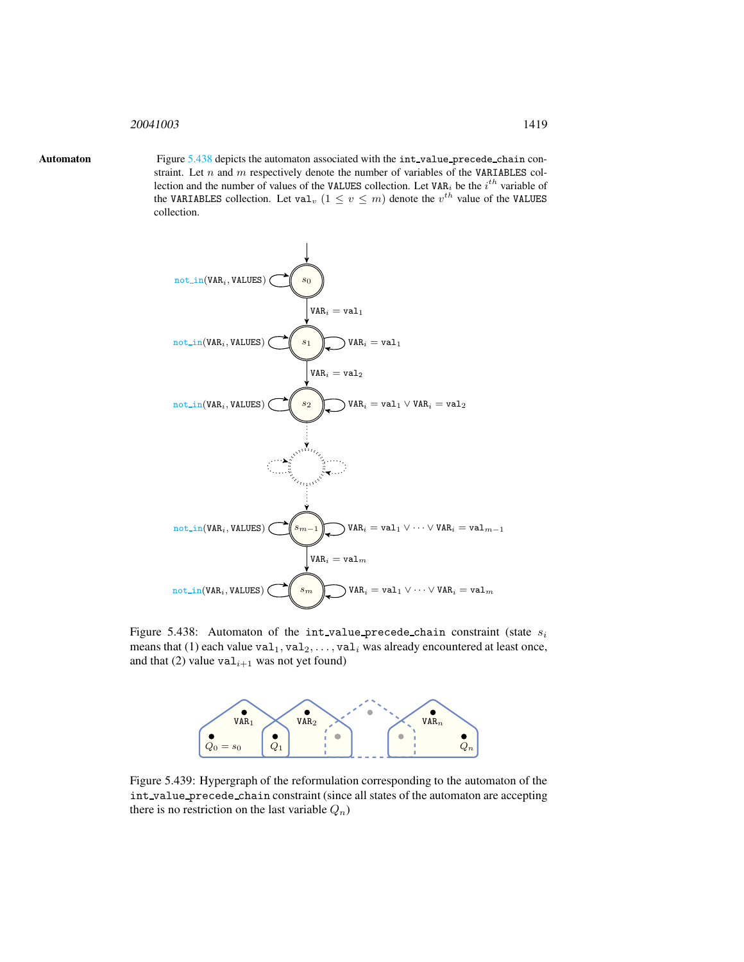## <span id="page-3-0"></span><sup>20041003</sup> 1419

Automaton Figure [5.438](#page-3-1) depicts the automaton associated with the int\_value\_precede\_chain constraint. Let  $n$  and  $m$  respectively denote the number of variables of the VARIABLES collection and the number of values of the VALUES collection. Let VAR<sub>i</sub> be the  $i^{th}$  variable of the VARIABLES collection. Let val<sub>v</sub>  $(1 \le v \le m)$  denote the  $v^{th}$  value of the VALUES collection.



Figure 5.438: Automaton of the int value precede chain constraint (state  $s_i$ means that (1) each value  $\text{val}_1, \text{val}_2, \ldots, \text{val}_i$  was already encountered at least once, and that (2) value  $\text{val}_{i+1}$  was not yet found)

<span id="page-3-1"></span>

Figure 5.439: Hypergraph of the reformulation corresponding to the automaton of the int value precede chain constraint (since all states of the automaton are accepting there is no restriction on the last variable  $Q_n$ )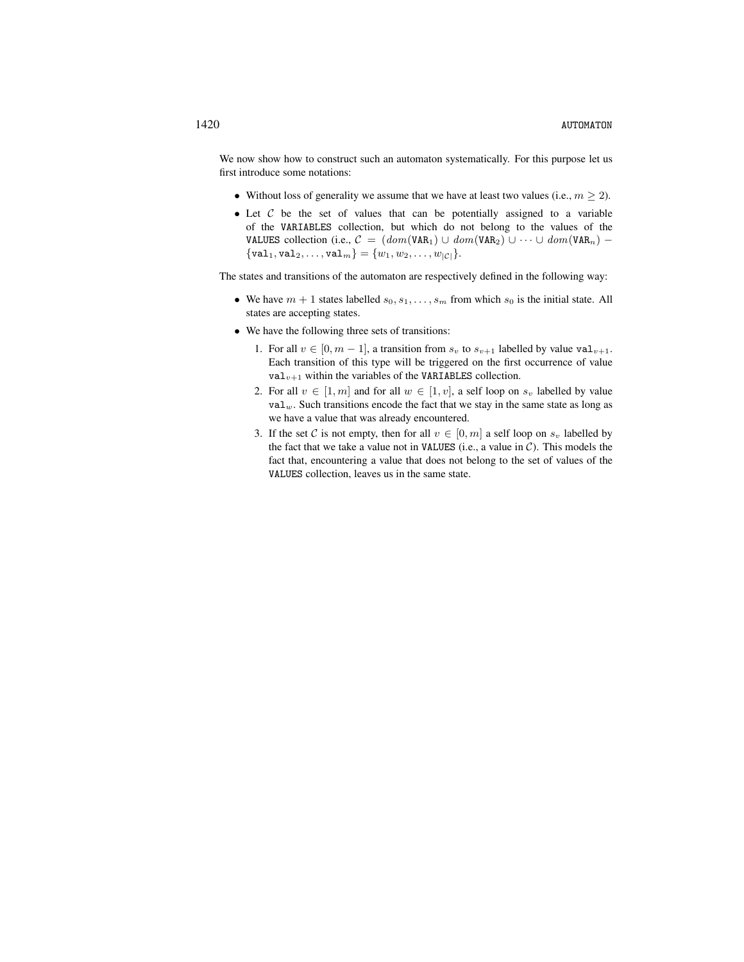We now show how to construct such an automaton systematically. For this purpose let us first introduce some notations:

- Without loss of generality we assume that we have at least two values (i.e.,  $m \geq 2$ ).
- Let  $C$  be the set of values that can be potentially assigned to a variable of the VARIABLES collection, but which do not belong to the values of the VALUES collection (i.e.,  $C = (dom(VAR_1) \cup dom(VAR_2) \cup \cdots \cup dom(VAR_n) \{val_1, val_2, \ldots, val_m\} = \{w_1, w_2, \ldots, w_{|\mathcal{C}|}\}.$

The states and transitions of the automaton are respectively defined in the following way:

- We have  $m + 1$  states labelled  $s_0, s_1, \ldots, s_m$  from which  $s_0$  is the initial state. All states are accepting states.
- We have the following three sets of transitions:
	- 1. For all  $v \in [0, m 1]$ , a transition from  $s_v$  to  $s_{v+1}$  labelled by value val<sub>v+1</sub>. Each transition of this type will be triggered on the first occurrence of value  $\text{val}_{v+1}$  within the variables of the VARIABLES collection.
	- 2. For all  $v \in [1, m]$  and for all  $w \in [1, v]$ , a self loop on  $s_v$  labelled by value  $val_w$ . Such transitions encode the fact that we stay in the same state as long as we have a value that was already encountered.
	- 3. If the set C is not empty, then for all  $v \in [0, m]$  a self loop on  $s_v$  labelled by the fact that we take a value not in VALUES (i.e., a value in  $C$ ). This models the fact that, encountering a value that does not belong to the set of values of the VALUES collection, leaves us in the same state.